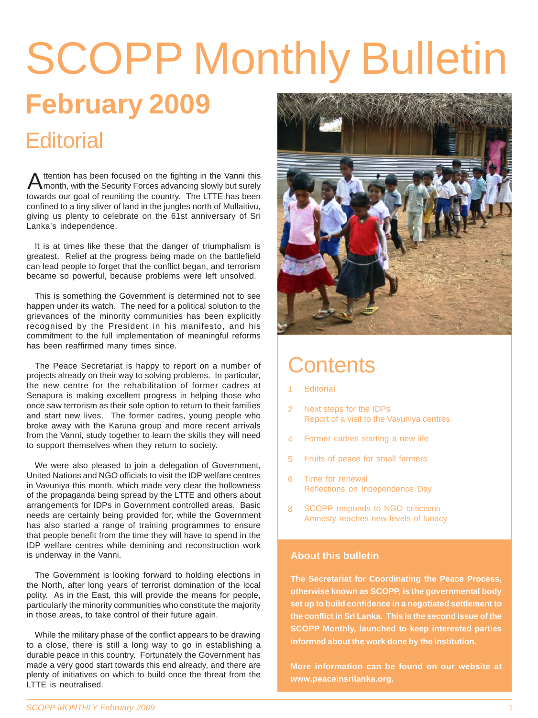# **February 2009** SCOPP Monthly Bulletin **Editorial**

towards our goal of reuniting the country. The LTTE has been confined to a tiny sliver of land in the jungles north of Mullaitivu, giving us plenty to celebrate on the 61st anniversary of Sri Lanka's independence. Attention has been focused on the fighting in the Vanni this<br>
month, with the Security Forces advancing slowly but surely

It is at times like these that the danger of triumphalism is greatest. Relief at the progress being made on the battlefield can lead people to forget that the conflict began, and terrorism became so powerful, because problems were left unsolved.

This is something the Government is determined not to see happen under its watch. The need for a political solution to the grievances of the minority communities has been explicitly recognised by the President in his manifesto, and his commitment to the full implementation of meaningful reforms has been reaffirmed many times since.

The Peace Secretariat is happy to report on a number of projects already on their way to solving problems. In particular, the new centre for the rehabilitation of former cadres at Senapura is making excellent progress in helping those who once saw terrorism as their sole option to return to their families and start new lives. The former cadres, young people who broke away with the Karuna group and more recent arrivals from the Vanni, study together to learn the skills they will need to support themselves when they return to society.

We were also pleased to join a delegation of Government, United Nations and NGO officials to visit the IDP welfare centres in Vavuniya this month, which made very clear the hollowness of the propaganda being spread by the LTTE and others about arrangements for IDPs in Government controlled areas. Basic needs are certainly being provided for, while the Government has also started a range of training programmes to ensure that people benefit from the time they will have to spend in the IDP welfare centres while demining and reconstruction work is underway in the Vanni.

The Government is looking forward to holding elections in the North, after long years of terrorist domination of the local polity. As in the East, this will provide the means for people, particularly the minority communities who constitute the majority in those areas, to take control of their future again.

While the military phase of the conflict appears to be drawing to a close, there is still a long way to go in establishing a durable peace in this country. Fortunately the Government has made a very good start towards this end already, and there are plenty of initiatives on which to build once the threat from the LTTE is neutralised.



#### **Contents**

- **Editorial** 1
- Next steps for the IDPs Report of a visit to the Vavuniya centres  $\overline{2}$
- Former cadres starting a new life 4
- Fruits of peace for small farmers 5
- Time for renewal Reflections on Independence Day 6
- SCOPP responds to NGO criticisms Amnesty reaches new levels of lunacy 8

#### **About this bulletin**

**The Secretariat for Coordinating the Peace Process, otherwise known as SCOPP, is the governmental body set up to build confidence in a negotiated settlement to the conflict in Sri Lanka. This is the second issue of the SCOPP Monthly, launched to keep interested parties informed about the work done by the institution.**

**More information can be found on our website at www.peaceinsrilanka.org.**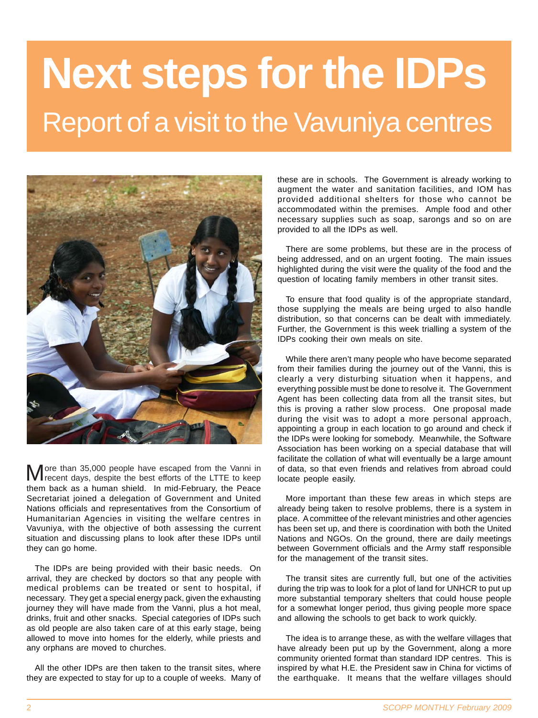# **Next steps for the IDPs** Report of a visit to the Vavuniya centres



them back as a human shield. In mid-February, the Peace Secretariat joined a delegation of Government and United Nations officials and representatives from the Consortium of Humanitarian Agencies in visiting the welfare centres in Vavuniya, with the objective of both assessing the current situation and discussing plans to look after these IDPs until they can go home. ore than 35,000 people have escaped from the Vanni in recent days, despite the best efforts of the LTTE to keep

The IDPs are being provided with their basic needs. On arrival, they are checked by doctors so that any people with medical problems can be treated or sent to hospital, if necessary. They get a special energy pack, given the exhausting journey they will have made from the Vanni, plus a hot meal, drinks, fruit and other snacks. Special categories of IDPs such as old people are also taken care of at this early stage, being allowed to move into homes for the elderly, while priests and any orphans are moved to churches.

All the other IDPs are then taken to the transit sites, where they are expected to stay for up to a couple of weeks. Many of

these are in schools. The Government is already working to augment the water and sanitation facilities, and IOM has provided additional shelters for those who cannot be accommodated within the premises. Ample food and other necessary supplies such as soap, sarongs and so on are provided to all the IDPs as well.

There are some problems, but these are in the process of being addressed, and on an urgent footing. The main issues highlighted during the visit were the quality of the food and the question of locating family members in other transit sites.

To ensure that food quality is of the appropriate standard, those supplying the meals are being urged to also handle distribution, so that concerns can be dealt with immediately. Further, the Government is this week trialling a system of the IDPs cooking their own meals on site.

While there aren't many people who have become separated from their families during the journey out of the Vanni, this is clearly a very disturbing situation when it happens, and everything possible must be done to resolve it. The Government Agent has been collecting data from all the transit sites, but this is proving a rather slow process. One proposal made during the visit was to adopt a more personal approach, appointing a group in each location to go around and check if the IDPs were looking for somebody. Meanwhile, the Software Association has been working on a special database that will facilitate the collation of what will eventually be a large amount of data, so that even friends and relatives from abroad could locate people easily.

More important than these few areas in which steps are already being taken to resolve problems, there is a system in place. A committee of the relevant ministries and other agencies has been set up, and there is coordination with both the United Nations and NGOs. On the ground, there are daily meetings between Government officials and the Army staff responsible for the management of the transit sites.

The transit sites are currently full, but one of the activities during the trip was to look for a plot of land for UNHCR to put up more substantial temporary shelters that could house people for a somewhat longer period, thus giving people more space and allowing the schools to get back to work quickly.

The idea is to arrange these, as with the welfare villages that have already been put up by the Government, along a more community oriented format than standard IDP centres. This is inspired by what H.E. the President saw in China for victims of the earthquake. It means that the welfare villages should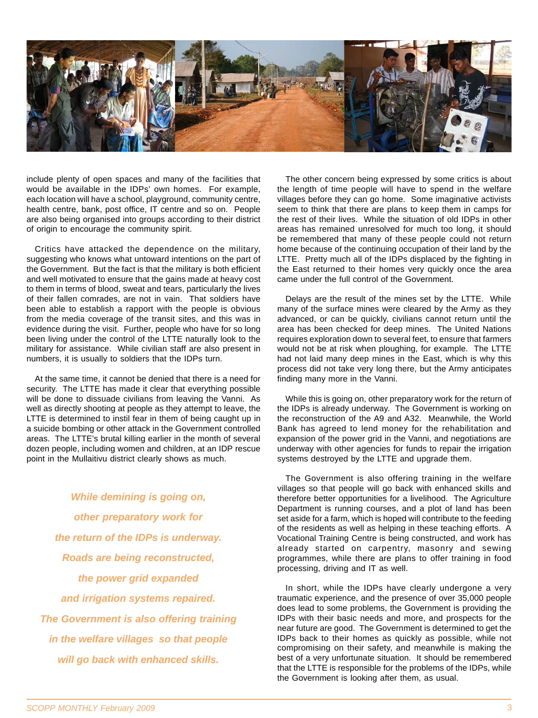

include plenty of open spaces and many of the facilities that would be available in the IDPs' own homes. For example, each location will have a school, playground, community centre, health centre, bank, post office, IT centre and so on. People are also being organised into groups according to their district of origin to encourage the community spirit.

Critics have attacked the dependence on the military, suggesting who knows what untoward intentions on the part of the Government. But the fact is that the military is both efficient and well motivated to ensure that the gains made at heavy cost to them in terms of blood, sweat and tears, particularly the lives of their fallen comrades, are not in vain. That soldiers have been able to establish a rapport with the people is obvious from the media coverage of the transit sites, and this was in evidence during the visit. Further, people who have for so long been living under the control of the LTTE naturally look to the military for assistance. While civilian staff are also present in numbers, it is usually to soldiers that the IDPs turn.

At the same time, it cannot be denied that there is a need for security. The LTTE has made it clear that everything possible will be done to dissuade civilians from leaving the Vanni. As well as directly shooting at people as they attempt to leave, the LTTE is determined to instil fear in them of being caught up in a suicide bombing or other attack in the Government controlled areas. The LTTE's brutal killing earlier in the month of several dozen people, including women and children, at an IDP rescue point in the Mullaitivu district clearly shows as much.

*While demining is going on, other preparatory work for the return of the IDPs is underway. Roads are being reconstructed, the power grid expanded and irrigation systems repaired. The Government is also offering training in the welfare villages so that people will go back with enhanced skills.*

The other concern being expressed by some critics is about the length of time people will have to spend in the welfare villages before they can go home. Some imaginative activists seem to think that there are plans to keep them in camps for the rest of their lives. While the situation of old IDPs in other areas has remained unresolved for much too long, it should be remembered that many of these people could not return home because of the continuing occupation of their land by the LTTE. Pretty much all of the IDPs displaced by the fighting in the East returned to their homes very quickly once the area came under the full control of the Government.

Delays are the result of the mines set by the LTTE. While many of the surface mines were cleared by the Army as they advanced, or can be quickly, civilians cannot return until the area has been checked for deep mines. The United Nations requires exploration down to several feet, to ensure that farmers would not be at risk when ploughing, for example. The LTTE had not laid many deep mines in the East, which is why this process did not take very long there, but the Army anticipates finding many more in the Vanni.

While this is going on, other preparatory work for the return of the IDPs is already underway. The Government is working on the reconstruction of the A9 and A32. Meanwhile, the World Bank has agreed to lend money for the rehabilitation and expansion of the power grid in the Vanni, and negotiations are underway with other agencies for funds to repair the irrigation systems destroyed by the LTTE and upgrade them.

The Government is also offering training in the welfare villages so that people will go back with enhanced skills and therefore better opportunities for a livelihood. The Agriculture Department is running courses, and a plot of land has been set aside for a farm, which is hoped will contribute to the feeding of the residents as well as helping in these teaching efforts. A Vocational Training Centre is being constructed, and work has already started on carpentry, masonry and sewing programmes, while there are plans to offer training in food processing, driving and IT as well.

In short, while the IDPs have clearly undergone a very traumatic experience, and the presence of over 35,000 people does lead to some problems, the Government is providing the IDPs with their basic needs and more, and prospects for the near future are good. The Government is determined to get the IDPs back to their homes as quickly as possible, while not compromising on their safety, and meanwhile is making the best of a very unfortunate situation. It should be remembered that the LTTE is responsible for the problems of the IDPs, while the Government is looking after them, as usual.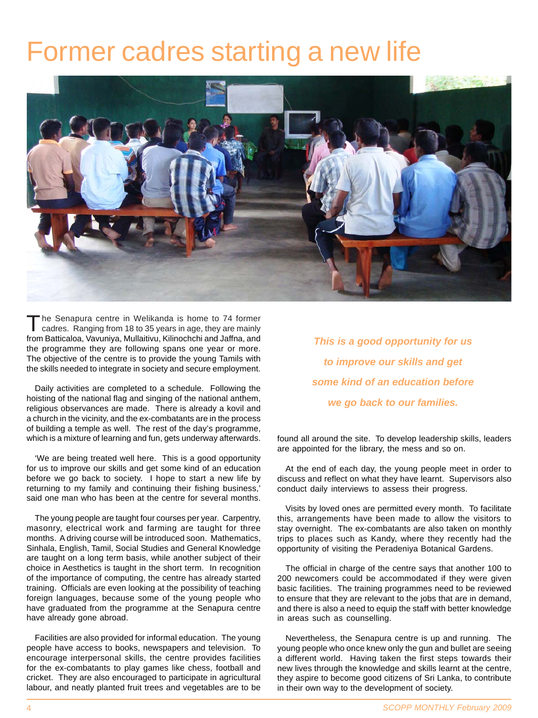#### Former cadres starting a new life



The Senapura centre in Welikanda is home to 74 former cadres. Ranging from 18 to 35 years in age, they are mainly from Batticaloa, Vavuniya, Mullaitivu, Kilinochchi and Jaffna, and the programme they are following spans one year or more. The objective of the centre is to provide the young Tamils with the skills needed to integrate in society and secure employment.

Daily activities are completed to a schedule. Following the hoisting of the national flag and singing of the national anthem, religious observances are made. There is already a kovil and a church in the vicinity, and the ex-combatants are in the process of building a temple as well. The rest of the day's programme, which is a mixture of learning and fun, gets underway afterwards.

'We are being treated well here. This is a good opportunity for us to improve our skills and get some kind of an education before we go back to society. I hope to start a new life by returning to my family and continuing their fishing business,' said one man who has been at the centre for several months.

The young people are taught four courses per year. Carpentry, masonry, electrical work and farming are taught for three months. A driving course will be introduced soon. Mathematics, Sinhala, English, Tamil, Social Studies and General Knowledge are taught on a long term basis, while another subject of their choice in Aesthetics is taught in the short term. In recognition of the importance of computing, the centre has already started training. Officials are even looking at the possibility of teaching foreign languages, because some of the young people who have graduated from the programme at the Senapura centre have already gone abroad.

Facilities are also provided for informal education. The young people have access to books, newspapers and television. To encourage interpersonal skills, the centre provides facilities for the ex-combatants to play games like chess, football and cricket. They are also encouraged to participate in agricultural labour, and neatly planted fruit trees and vegetables are to be

*This is a good opportunity for us to improve our skills and get some kind of an education before we go back to our families.*

found all around the site. To develop leadership skills, leaders are appointed for the library, the mess and so on.

At the end of each day, the young people meet in order to discuss and reflect on what they have learnt. Supervisors also conduct daily interviews to assess their progress.

Visits by loved ones are permitted every month. To facilitate this, arrangements have been made to allow the visitors to stay overnight. The ex-combatants are also taken on monthly trips to places such as Kandy, where they recently had the opportunity of visiting the Peradeniya Botanical Gardens.

The official in charge of the centre says that another 100 to 200 newcomers could be accommodated if they were given basic facilities. The training programmes need to be reviewed to ensure that they are relevant to the jobs that are in demand, and there is also a need to equip the staff with better knowledge in areas such as counselling.

Nevertheless, the Senapura centre is up and running. The young people who once knew only the gun and bullet are seeing a different world. Having taken the first steps towards their new lives through the knowledge and skills learnt at the centre, they aspire to become good citizens of Sri Lanka, to contribute in their own way to the development of society.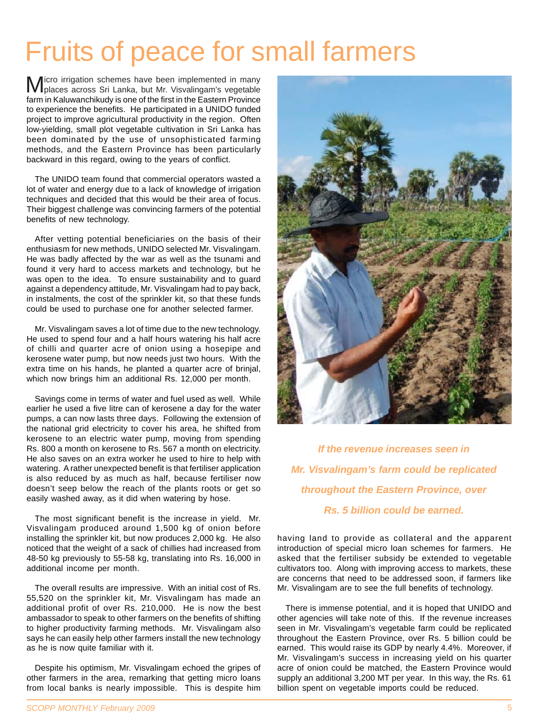#### Fruits of peace for small farmers

farm in Kaluwanchikudy is one of the first in the Eastern Province to experience the benefits. He participated in a UNIDO funded project to improve agricultural productivity in the region. Often low-yielding, small plot vegetable cultivation in Sri Lanka has been dominated by the use of unsophisticated farming methods, and the Eastern Province has been particularly backward in this regard, owing to the years of conflict. Micro irrigation schemes have been implemented in many places across Sri Lanka, but Mr. Visvalingam's vegetable

The UNIDO team found that commercial operators wasted a lot of water and energy due to a lack of knowledge of irrigation techniques and decided that this would be their area of focus. Their biggest challenge was convincing farmers of the potential benefits of new technology.

After vetting potential beneficiaries on the basis of their enthusiasm for new methods, UNIDO selected Mr. Visvalingam. He was badly affected by the war as well as the tsunami and found it very hard to access markets and technology, but he was open to the idea. To ensure sustainability and to guard against a dependency attitude, Mr. Visvalingam had to pay back, in instalments, the cost of the sprinkler kit, so that these funds could be used to purchase one for another selected farmer.

Mr. Visvalingam saves a lot of time due to the new technology. He used to spend four and a half hours watering his half acre of chilli and quarter acre of onion using a hosepipe and kerosene water pump, but now needs just two hours. With the extra time on his hands, he planted a quarter acre of brinjal, which now brings him an additional Rs. 12,000 per month.

Savings come in terms of water and fuel used as well. While earlier he used a five litre can of kerosene a day for the water pumps, a can now lasts three days. Following the extension of the national grid electricity to cover his area, he shifted from kerosene to an electric water pump, moving from spending Rs. 800 a month on kerosene to Rs. 567 a month on electricity. He also saves on an extra worker he used to hire to help with watering. A rather unexpected benefit is that fertiliser application is also reduced by as much as half, because fertiliser now doesn't seep below the reach of the plants roots or get so easily washed away, as it did when watering by hose.

The most significant benefit is the increase in yield. Mr. Visvalingam produced around 1,500 kg of onion before installing the sprinkler kit, but now produces 2,000 kg. He also noticed that the weight of a sack of chillies had increased from 48-50 kg previously to 55-58 kg, translating into Rs. 16,000 in additional income per month.

The overall results are impressive. With an initial cost of Rs. 55,520 on the sprinkler kit, Mr. Visvalingam has made an additional profit of over Rs. 210,000. He is now the best ambassador to speak to other farmers on the benefits of shifting to higher productivity farming methods. Mr. Visvalingam also says he can easily help other farmers install the new technology as he is now quite familiar with it.

Despite his optimism, Mr. Visvalingam echoed the gripes of other farmers in the area, remarking that getting micro loans from local banks is nearly impossible. This is despite him



*If the revenue increases seen in Mr. Visvalingam's farm could be replicated throughout the Eastern Province, over Rs. 5 billion could be earned.*

having land to provide as collateral and the apparent introduction of special micro loan schemes for farmers. He asked that the fertiliser subsidy be extended to vegetable cultivators too. Along with improving access to markets, these are concerns that need to be addressed soon, if farmers like Mr. Visvalingam are to see the full benefits of technology.

There is immense potential, and it is hoped that UNIDO and other agencies will take note of this. If the revenue increases seen in Mr. Visvalingam's vegetable farm could be replicated throughout the Eastern Province, over Rs. 5 billion could be earned. This would raise its GDP by nearly 4.4%. Moreover, if Mr. Visvalingam's success in increasing yield on his quarter acre of onion could be matched, the Eastern Province would supply an additional 3,200 MT per year. In this way, the Rs. 61 billion spent on vegetable imports could be reduced.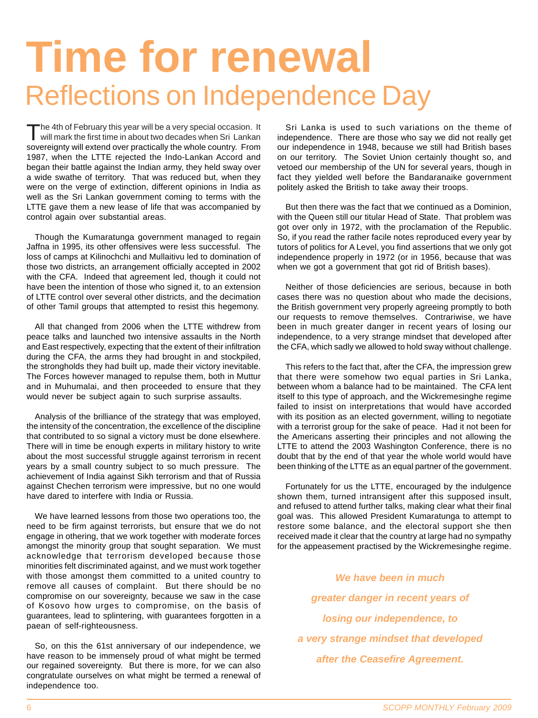## **Time for renewal** Reflections on Independence Day

sovereignty will extend over practically the whole country. From 1987, when the LTTE rejected the Indo-Lankan Accord and began their battle against the Indian army, they held sway over a wide swathe of territory. That was reduced but, when they were on the verge of extinction, different opinions in India as well as the Sri Lankan government coming to terms with the LTTE gave them a new lease of life that was accompanied by control again over substantial areas. The 4th of February this year will be a very special occasion. It will mark the first time in about two decades when Sri Lankan

Though the Kumaratunga government managed to regain Jaffna in 1995, its other offensives were less successful. The loss of camps at Kilinochchi and Mullaitivu led to domination of those two districts, an arrangement officially accepted in 2002 with the CFA. Indeed that agreement led, though it could not have been the intention of those who signed it, to an extension of LTTE control over several other districts, and the decimation of other Tamil groups that attempted to resist this hegemony.

All that changed from 2006 when the LTTE withdrew from peace talks and launched two intensive assaults in the North and East respectively, expecting that the extent of their infiltration during the CFA, the arms they had brought in and stockpiled, the strongholds they had built up, made their victory inevitable. The Forces however managed to repulse them, both in Muttur and in Muhumalai, and then proceeded to ensure that they would never be subject again to such surprise assaults.

Analysis of the brilliance of the strategy that was employed, the intensity of the concentration, the excellence of the discipline that contributed to so signal a victory must be done elsewhere. There will in time be enough experts in military history to write about the most successful struggle against terrorism in recent years by a small country subject to so much pressure. The achievement of India against Sikh terrorism and that of Russia against Chechen terrorism were impressive, but no one would have dared to interfere with India or Russia.

We have learned lessons from those two operations too, the need to be firm against terrorists, but ensure that we do not engage in othering, that we work together with moderate forces amongst the minority group that sought separation. We must acknowledge that terrorism developed because those minorities felt discriminated against, and we must work together with those amongst them committed to a united country to remove all causes of complaint. But there should be no compromise on our sovereignty, because we saw in the case of Kosovo how urges to compromise, on the basis of guarantees, lead to splintering, with guarantees forgotten in a paean of self-righteousness.

So, on this the 61st anniversary of our independence, we have reason to be immensely proud of what might be termed our regained sovereignty. But there is more, for we can also congratulate ourselves on what might be termed a renewal of independence too.

Sri Lanka is used to such variations on the theme of independence. There are those who say we did not really get our independence in 1948, because we still had British bases on our territory. The Soviet Union certainly thought so, and vetoed our membership of the UN for several years, though in fact they yielded well before the Bandaranaike government politely asked the British to take away their troops.

But then there was the fact that we continued as a Dominion, with the Queen still our titular Head of State. That problem was got over only in 1972, with the proclamation of the Republic. So, if you read the rather facile notes reproduced every year by tutors of politics for A Level, you find assertions that we only got independence properly in 1972 (or in 1956, because that was when we got a government that got rid of British bases).

Neither of those deficiencies are serious, because in both cases there was no question about who made the decisions, the British government very properly agreeing promptly to both our requests to remove themselves. Contrariwise, we have been in much greater danger in recent years of losing our independence, to a very strange mindset that developed after the CFA, which sadly we allowed to hold sway without challenge.

This refers to the fact that, after the CFA, the impression grew that there were somehow two equal parties in Sri Lanka, between whom a balance had to be maintained. The CFA lent itself to this type of approach, and the Wickremesinghe regime failed to insist on interpretations that would have accorded with its position as an elected government, willing to negotiate with a terrorist group for the sake of peace. Had it not been for the Americans asserting their principles and not allowing the LTTE to attend the 2003 Washington Conference, there is no doubt that by the end of that year the whole world would have been thinking of the LTTE as an equal partner of the government.

Fortunately for us the LTTE, encouraged by the indulgence shown them, turned intransigent after this supposed insult, and refused to attend further talks, making clear what their final goal was. This allowed President Kumaratunga to attempt to restore some balance, and the electoral support she then received made it clear that the country at large had no sympathy for the appeasement practised by the Wickremesinghe regime.

*We have been in much greater danger in recent years of losing our independence, to a very strange mindset that developed after the Ceasefire Agreement.*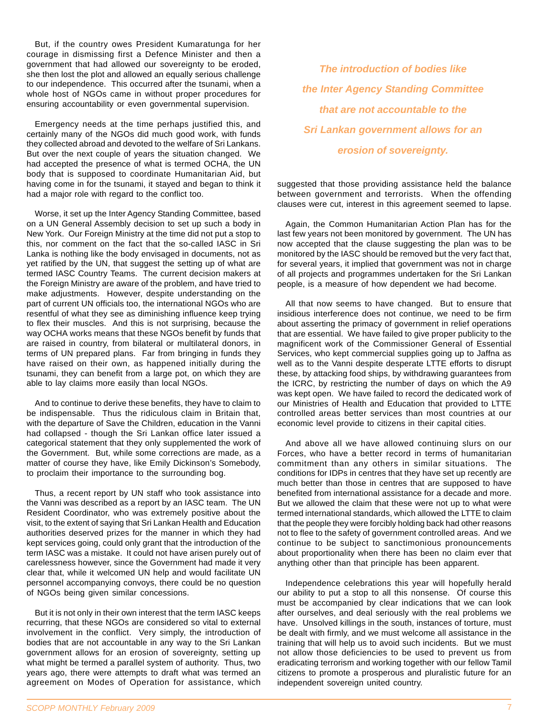But, if the country owes President Kumaratunga for her courage in dismissing first a Defence Minister and then a government that had allowed our sovereignty to be eroded, she then lost the plot and allowed an equally serious challenge to our independence. This occurred after the tsunami, when a whole host of NGOs came in without proper procedures for ensuring accountability or even governmental supervision.

Emergency needs at the time perhaps justified this, and certainly many of the NGOs did much good work, with funds they collected abroad and devoted to the welfare of Sri Lankans. But over the next couple of years the situation changed. We had accepted the presence of what is termed OCHA, the UN body that is supposed to coordinate Humanitarian Aid, but having come in for the tsunami, it stayed and began to think it had a major role with regard to the conflict too.

Worse, it set up the Inter Agency Standing Committee, based on a UN General Assembly decision to set up such a body in New York. Our Foreign Ministry at the time did not put a stop to this, nor comment on the fact that the so-called IASC in Sri Lanka is nothing like the body envisaged in documents, not as yet ratified by the UN, that suggest the setting up of what are termed IASC Country Teams. The current decision makers at the Foreign Ministry are aware of the problem, and have tried to make adjustments. However, despite understanding on the part of current UN officials too, the international NGOs who are resentful of what they see as diminishing influence keep trying to flex their muscles. And this is not surprising, because the way OCHA works means that these NGOs benefit by funds that are raised in country, from bilateral or multilateral donors, in terms of UN prepared plans. Far from bringing in funds they have raised on their own, as happened initially during the tsunami, they can benefit from a large pot, on which they are able to lay claims more easily than local NGOs.

And to continue to derive these benefits, they have to claim to be indispensable. Thus the ridiculous claim in Britain that, with the departure of Save the Children, education in the Vanni had collapsed - though the Sri Lankan office later issued a categorical statement that they only supplemented the work of the Government. But, while some corrections are made, as a matter of course they have, like Emily Dickinson's Somebody, to proclaim their importance to the surrounding bog.

Thus, a recent report by UN staff who took assistance into the Vanni was described as a report by an IASC team. The UN Resident Coordinator, who was extremely positive about the visit, to the extent of saying that Sri Lankan Health and Education authorities deserved prizes for the manner in which they had kept services going, could only grant that the introduction of the term IASC was a mistake. It could not have arisen purely out of carelessness however, since the Government had made it very clear that, while it welcomed UN help and would facilitate UN personnel accompanying convoys, there could be no question of NGOs being given similar concessions.

But it is not only in their own interest that the term IASC keeps recurring, that these NGOs are considered so vital to external involvement in the conflict. Very simply, the introduction of bodies that are not accountable in any way to the Sri Lankan government allows for an erosion of sovereignty, setting up what might be termed a parallel system of authority. Thus, two years ago, there were attempts to draft what was termed an agreement on Modes of Operation for assistance, which

*The introduction of bodies like the Inter Agency Standing Committee that are not accountable to the Sri Lankan government allows for an erosion of sovereignty.*

suggested that those providing assistance held the balance between government and terrorists. When the offending clauses were cut, interest in this agreement seemed to lapse.

Again, the Common Humanitarian Action Plan has for the last few years not been monitored by government. The UN has now accepted that the clause suggesting the plan was to be monitored by the IASC should be removed but the very fact that, for several years, it implied that government was not in charge of all projects and programmes undertaken for the Sri Lankan people, is a measure of how dependent we had become.

All that now seems to have changed. But to ensure that insidious interference does not continue, we need to be firm about asserting the primacy of government in relief operations that are essential. We have failed to give proper publicity to the magnificent work of the Commissioner General of Essential Services, who kept commercial supplies going up to Jaffna as well as to the Vanni despite desperate LTTE efforts to disrupt these, by attacking food ships, by withdrawing guarantees from the ICRC, by restricting the number of days on which the A9 was kept open. We have failed to record the dedicated work of our Ministries of Health and Education that provided to LTTE controlled areas better services than most countries at our economic level provide to citizens in their capital cities.

And above all we have allowed continuing slurs on our Forces, who have a better record in terms of humanitarian commitment than any others in similar situations. The conditions for IDPs in centres that they have set up recently are much better than those in centres that are supposed to have benefited from international assistance for a decade and more. But we allowed the claim that these were not up to what were termed international standards, which allowed the LTTE to claim that the people they were forcibly holding back had other reasons not to flee to the safety of government controlled areas. And we continue to be subject to sanctimonious pronouncements about proportionality when there has been no claim ever that anything other than that principle has been apparent.

Independence celebrations this year will hopefully herald our ability to put a stop to all this nonsense. Of course this must be accompanied by clear indications that we can look after ourselves, and deal seriously with the real problems we have. Unsolved killings in the south, instances of torture, must be dealt with firmly, and we must welcome all assistance in the training that will help us to avoid such incidents. But we must not allow those deficiencies to be used to prevent us from eradicating terrorism and working together with our fellow Tamil citizens to promote a prosperous and pluralistic future for an independent sovereign united country.